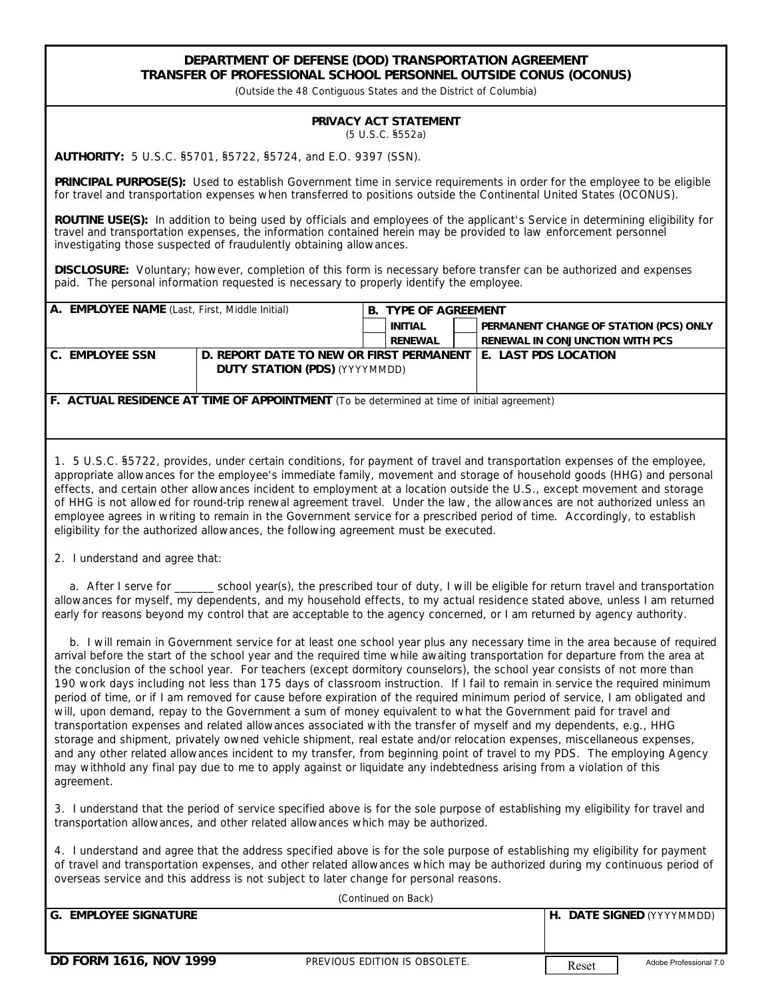## **DEPARTMENT OF DEFENSE (DOD) TRANSPORTATION AGREEMENT TRANSFER OF PROFESSIONAL SCHOOL PERSONNEL OUTSIDE CONUS (OCONUS)**

*(Outside the 48 Contiguous States and the District of Columbia)*

## **PRIVACY ACT STATEMENT** (5 U.S.C. §552a)

**AUTHORITY:** 5 U.S.C. §5701, §5722, §5724, and E.O. 9397 (SSN).

**PRINCIPAL PURPOSE(S):** Used to establish Government time in service requirements in order for the employee to be eligible for travel and transportation expenses when transferred to positions outside the Continental United States (OCONUS).

**ROUTINE USE(S):** In addition to being used by officials and employees of the applicant's Service in determining eligibility for travel and transportation expenses, the information contained herein may be provided to law enforcement personnel investigating those suspected of fraudulently obtaining allowances.

**DISCLOSURE:** Voluntary; however, completion of this form is necessary before transfer can be authorized and expenses paid. The personal information requested is necessary to properly identify the employee.

| A. EMPLOYEE NAME (Last, First, Middle Initial) |                                                                           | <b>B. TYPE OF AGREEMENT</b> |         |  |                                        |
|------------------------------------------------|---------------------------------------------------------------------------|-----------------------------|---------|--|----------------------------------------|
|                                                |                                                                           |                             | INITIAL |  | PERMANENT CHANGE OF STATION (PCS) ONLY |
|                                                |                                                                           |                             | RENEWAL |  | RENEWAL IN CONJUNCTION WITH PCS        |
| C. EMPLOYEE SSN                                | D. REPORT DATE TO NEW OR FIRST PERMANENT<br>DUTY STATION (PDS) (YYYYMMDD) |                             |         |  | I E. LAST PDS LOCATION                 |

**F. ACTUAL RESIDENCE AT TIME OF APPOINTMENT** *(To be determined at time of initial agreement)*

1. 5 U.S.C. §5722, provides, under certain conditions, for payment of travel and transportation expenses of the employee, appropriate allowances for the employee's immediate family, movement and storage of household goods (HHG) and personal effects, and certain other allowances incident to employment at a location outside the U.S., except movement and storage of HHG is not allowed for round-trip renewal agreement travel. Under the law, the allowances are not authorized unless an employee agrees in writing to remain in the Government service for a prescribed period of time. Accordingly, to establish eligibility for the authorized allowances, the following agreement must be executed.

2. I understand and agree that:

 a. After I serve for \_\_\_\_\_\_\_ school year(s), the prescribed tour of duty, I will be eligible for return travel and transportation allowances for myself, my dependents, and my household effects, to my actual residence stated above, unless I am returned early for reasons beyond my control that are acceptable to the agency concerned, or I am returned by agency authority.

 b. I will remain in Government service for at least one school year plus any necessary time in the area because of required arrival before the start of the school year and the required time while awaiting transportation for departure from the area at the conclusion of the school year. For teachers (except dormitory counselors), the school year consists of not more than 190 work days including not less than 175 days of classroom instruction. If I fail to remain in service the required minimum period of time, or if I am removed for cause before expiration of the required minimum period of service, I am obligated and will, upon demand, repay to the Government a sum of money equivalent to what the Government paid for travel and transportation expenses and related allowances associated with the transfer of myself and my dependents, e.g., HHG storage and shipment, privately owned vehicle shipment, real estate and/or relocation expenses, miscellaneous expenses, and any other related allowances incident to my transfer, from beginning point of travel to my PDS. The employing Agency may withhold any final pay due to me to apply against or liquidate any indebtedness arising from a violation of this agreement.

3. I understand that the period of service specified above is for the sole purpose of establishing my eligibility for travel and transportation allowances, and other related allowances which may be authorized.

4. I understand and agree that the address specified above is for the sole purpose of establishing my eligibility for payment of travel and transportation expenses, and other related allowances which may be authorized during my continuous period of overseas service and this address is not subject to later change for personal reasons.

| (Continued on Back)    |                               |       |                           |  |  |  |  |
|------------------------|-------------------------------|-------|---------------------------|--|--|--|--|
| ig. Employee signature |                               |       | H. DATE SIGNED (YYYYMMDD) |  |  |  |  |
|                        |                               |       |                           |  |  |  |  |
|                        |                               |       |                           |  |  |  |  |
| DD FORM 1616, NOV 1999 | PREVIOUS EDITION IS OBSOLETE. | Reset | Adobe Professional 7.0    |  |  |  |  |